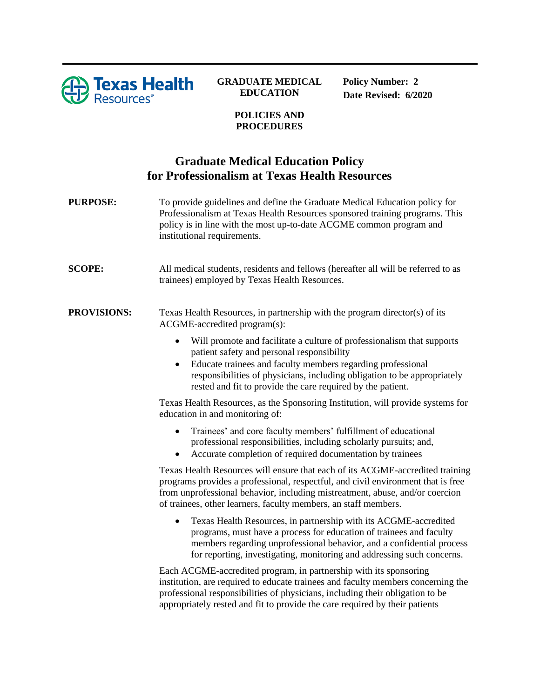

## **GRADUATE MEDICAL EDUCATION**

**Policy Number: 2 Date Revised: 6/2020**

## **POLICIES AND PROCEDURES**

## **Graduate Medical Education Policy for Professionalism at Texas Health Resources**

**PURPOSE:** To provide guidelines and define the Graduate Medical Education policy for Professionalism at Texas Health Resources sponsored training programs. This policy is in line with the most up-to-date ACGME common program and institutional requirements.

**SCOPE:** All medical students, residents and fellows (hereafter all will be referred to as trainees) employed by Texas Health Resources.

**PROVISIONS:** Texas Health Resources, in partnership with the program director(s) of its ACGME-accredited program(s):

- Will promote and facilitate a culture of professionalism that supports patient safety and personal responsibility
- Educate trainees and faculty members regarding professional responsibilities of physicians, including obligation to be appropriately rested and fit to provide the care required by the patient.

Texas Health Resources, as the Sponsoring Institution, will provide systems for education in and monitoring of:

- Trainees' and core faculty members' fulfillment of educational professional responsibilities, including scholarly pursuits; and,
- Accurate completion of required documentation by trainees

Texas Health Resources will ensure that each of its ACGME-accredited training programs provides a professional, respectful, and civil environment that is free from unprofessional behavior, including mistreatment, abuse, and/or coercion of trainees, other learners, faculty members, an staff members.

• Texas Health Resources, in partnership with its ACGME-accredited programs, must have a process for education of trainees and faculty members regarding unprofessional behavior, and a confidential process for reporting, investigating, monitoring and addressing such concerns.

Each ACGME-accredited program, in partnership with its sponsoring institution, are required to educate trainees and faculty members concerning the professional responsibilities of physicians, including their obligation to be appropriately rested and fit to provide the care required by their patients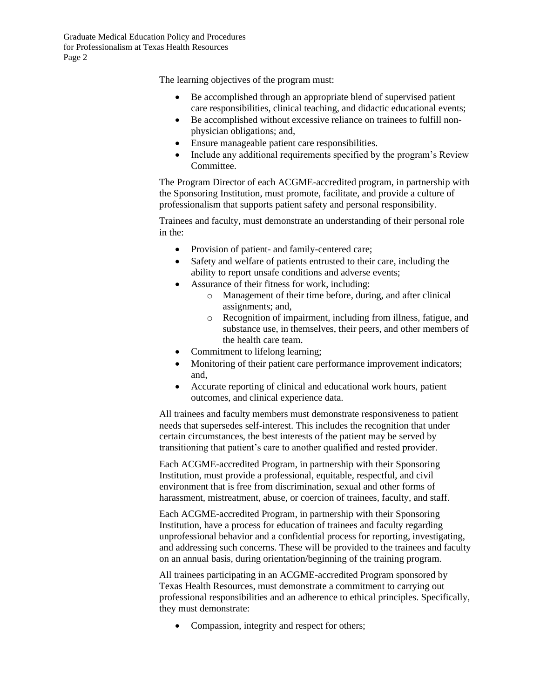Graduate Medical Education Policy and Procedures for Professionalism at Texas Health Resources Page 2

The learning objectives of the program must:

- Be accomplished through an appropriate blend of supervised patient care responsibilities, clinical teaching, and didactic educational events;
- Be accomplished without excessive reliance on trainees to fulfill nonphysician obligations; and,
- Ensure manageable patient care responsibilities.
- Include any additional requirements specified by the program's Review Committee.

The Program Director of each ACGME-accredited program, in partnership with the Sponsoring Institution, must promote, facilitate, and provide a culture of professionalism that supports patient safety and personal responsibility.

Trainees and faculty, must demonstrate an understanding of their personal role in the:

- Provision of patient- and family-centered care;
- Safety and welfare of patients entrusted to their care, including the ability to report unsafe conditions and adverse events;
- Assurance of their fitness for work, including:
	- o Management of their time before, during, and after clinical assignments; and,
	- o Recognition of impairment, including from illness, fatigue, and substance use, in themselves, their peers, and other members of the health care team.
- Commitment to lifelong learning;
- Monitoring of their patient care performance improvement indicators; and,
- Accurate reporting of clinical and educational work hours, patient outcomes, and clinical experience data.

All trainees and faculty members must demonstrate responsiveness to patient needs that supersedes self-interest. This includes the recognition that under certain circumstances, the best interests of the patient may be served by transitioning that patient's care to another qualified and rested provider.

Each ACGME-accredited Program, in partnership with their Sponsoring Institution, must provide a professional, equitable, respectful, and civil environment that is free from discrimination, sexual and other forms of harassment, mistreatment, abuse, or coercion of trainees, faculty, and staff.

Each ACGME-accredited Program, in partnership with their Sponsoring Institution, have a process for education of trainees and faculty regarding unprofessional behavior and a confidential process for reporting, investigating, and addressing such concerns. These will be provided to the trainees and faculty on an annual basis, during orientation/beginning of the training program.

All trainees participating in an ACGME-accredited Program sponsored by Texas Health Resources, must demonstrate a commitment to carrying out professional responsibilities and an adherence to ethical principles. Specifically, they must demonstrate:

• Compassion, integrity and respect for others;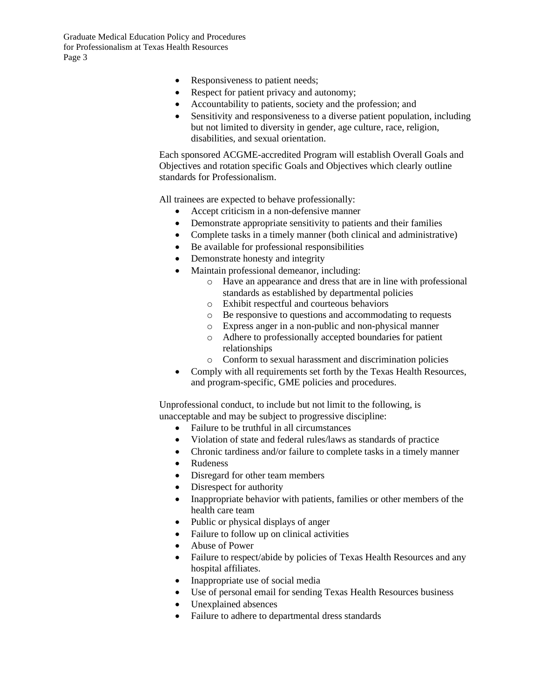Graduate Medical Education Policy and Procedures for Professionalism at Texas Health Resources Page 3

- Responsiveness to patient needs;
- Respect for patient privacy and autonomy;
- Accountability to patients, society and the profession; and
- Sensitivity and responsiveness to a diverse patient population, including but not limited to diversity in gender, age culture, race, religion, disabilities, and sexual orientation.

Each sponsored ACGME-accredited Program will establish Overall Goals and Objectives and rotation specific Goals and Objectives which clearly outline standards for Professionalism.

All trainees are expected to behave professionally:

- Accept criticism in a non-defensive manner
- Demonstrate appropriate sensitivity to patients and their families
- Complete tasks in a timely manner (both clinical and administrative)
- Be available for professional responsibilities
- Demonstrate honesty and integrity
- Maintain professional demeanor, including:
	- o Have an appearance and dress that are in line with professional standards as established by departmental policies
	- o Exhibit respectful and courteous behaviors
	- o Be responsive to questions and accommodating to requests
	- o Express anger in a non-public and non-physical manner
	- o Adhere to professionally accepted boundaries for patient relationships
	- o Conform to sexual harassment and discrimination policies
- Comply with all requirements set forth by the Texas Health Resources, and program-specific, GME policies and procedures.

Unprofessional conduct, to include but not limit to the following, is unacceptable and may be subject to progressive discipline:

- Failure to be truthful in all circumstances
- Violation of state and federal rules/laws as standards of practice
- Chronic tardiness and/or failure to complete tasks in a timely manner
- Rudeness
- Disregard for other team members
- Disrespect for authority
- Inappropriate behavior with patients, families or other members of the health care team
- Public or physical displays of anger
- Failure to follow up on clinical activities
- Abuse of Power
- Failure to respect/abide by policies of Texas Health Resources and any hospital affiliates.
- Inappropriate use of social media
- Use of personal email for sending Texas Health Resources business
- Unexplained absences
- Failure to adhere to departmental dress standards